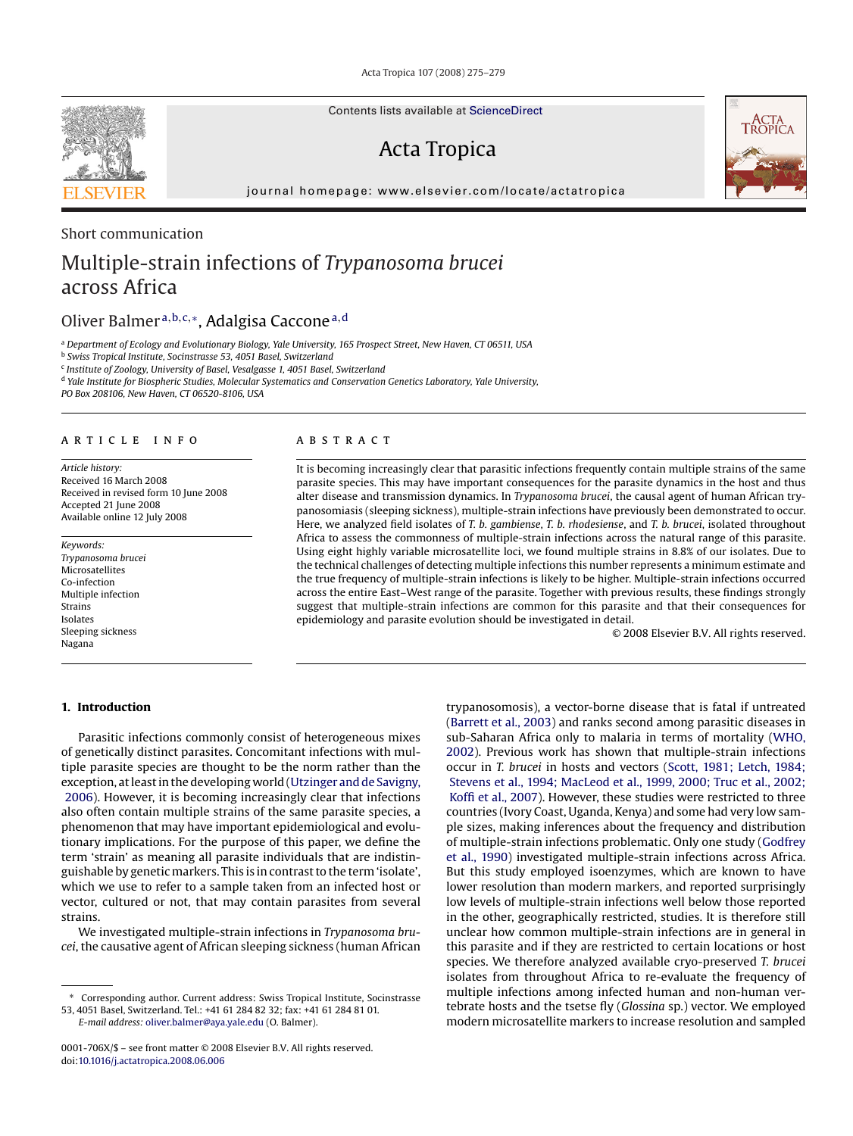Acta Tropica 107 (2008) 275–279

Contents lists available at [ScienceDirect](http://www.sciencedirect.com/science/journal/0001706X)

# Acta Tropica

journal homepage: www.elsevier.com/locate/actatropica

### Short communication

# Multiple-strain infections of *Trypanosoma brucei* across Africa

## Oliver Balmer <sup>a</sup>,b,c,∗, Adalgisa Caccone<sup>a</sup>,<sup>d</sup>

<sup>a</sup> *Department of Ecology and Evolutionary Biology, Yale University, 165 Prospect Street, New Haven, CT 06511, USA*

<sup>b</sup> *Swiss Tropical Institute, Socinstrasse 53, 4051 Basel, Switzerland*

<sup>c</sup> *Institute of Zoology, University of Basel, Vesalgasse 1, 4051 Basel, Switzerland*

<sup>d</sup> *Yale Institute for Biospheric Studies, Molecular Systematics and Conservation Genetics Laboratory, Yale University,*

*PO Box 208106, New Haven, CT 06520-8106, USA*

#### article info

*Article history:* Received 16 March 2008 Received in revised form 10 June 2008 Accepted 21 June 2008 Available online 12 July 2008

*Keywords: Trypanosoma brucei* Microsatellites Co-infection Multiple infection Strains Isolates Sleeping sickness Nagana

### **ABSTRACT**

It is becoming increasingly clear that parasitic infections frequently contain multiple strains of the same parasite species. This may have important consequences for the parasite dynamics in the host and thus alter disease and transmission dynamics. In *Trypanosoma brucei*, the causal agent of human African trypanosomiasis (sleeping sickness), multiple-strain infections have previously been demonstrated to occur. Here, we analyzed field isolates of *T. b. gambiense*, *T. b. rhodesiense*, and *T. b. brucei*, isolated throughout Africa to assess the commonness of multiple-strain infections across the natural range of this parasite. Using eight highly variable microsatellite loci, we found multiple strains in 8.8% of our isolates. Due to the technical challenges of detecting multiple infections this number represents a minimum estimate and the true frequency of multiple-strain infections is likely to be higher. Multiple-strain infections occurred across the entire East–West range of the parasite. Together with previous results, these findings strongly suggest that multiple-strain infections are common for this parasite and that their consequences for epidemiology and parasite evolution should be investigated in detail.

© 2008 Elsevier B.V. All rights reserved.

**1. Introduction**

Parasitic infections commonly consist of heterogeneous mixes of genetically distinct parasites. Concomitant infections with multiple parasite species are thought to be the norm rather than the exception, at least in the developing world [\(Utzinger and de Savigny,](#page-4-0) [2006\).](#page-4-0) However, it is becoming increasingly clear that infections also often contain multiple strains of the same parasite species, a phenomenon that may have important epidemiological and evolutionary implications. For the purpose of this paper, we define the term 'strain' as meaning all parasite individuals that are indistinguishable by genetic markers. This is in contrast to the term 'isolate', which we use to refer to a sample taken from an infected host or vector, cultured or not, that may contain parasites from several strains.

We investigated multiple-strain infections in *Trypanosoma brucei*, the causative agent of African sleeping sickness (human African

*E-mail address:* [oliver.balmer@aya.yale.edu](mailto:oliver.balmer@aya.yale.edu) (O. Balmer).

trypanosomosis), a vector-borne disease that is fatal if untreated ([Barrett et al., 2003\)](#page-4-0) and ranks second among parasitic diseases in sub-Saharan Africa only to malaria in terms of mortality [\(WHO,](#page-4-0) 2002). Previous work has shown that multiple-strain infections occur in *T. brucei* in hosts and vectors ([Scott, 1981; Letch, 1984;](#page-4-0) [Stevens et al., 1994; MacLeod et al., 1999, 2000; Truc et al., 2002;](#page-4-0) [Koffi et al., 2007\).](#page-4-0) However, these studies were restricted to three countries (Ivory Coast, Uganda, Kenya) and some had very low sample sizes, making inferences about the frequency and distribution of multiple-strain infections problematic. Only one study [\(Godfrey](#page-4-0) et al., 1990) investigated multiple-strain infections across Africa. But this study employed isoenzymes, which are known to have lower resolution than modern markers, and reported surprisingly low levels of multiple-strain infections well below those reported in the other, geographically restricted, studies. It is therefore still unclear how common multiple-strain infections are in general in this parasite and if they are restricted to certain locations or host species. We therefore analyzed available cryo-preserved *T. brucei* isolates from throughout Africa to re-evaluate the frequency of multiple infections among infected human and non-human vertebrate hosts and the tsetse fly (*Glossina* sp.) vector. We employed modern microsatellite markers to increase resolution and sampled





Corresponding author. Current address: Swiss Tropical Institute, Socinstrasse 53, 4051 Basel, Switzerland. Tel.: +41 61 284 82 32; fax: +41 61 284 81 01.

<sup>0001-706</sup>X/\$ – see front matter © 2008 Elsevier B.V. All rights reserved. doi:[10.1016/j.actatropica.2008.06.006](dx.doi.org/10.1016/j.actatropica.2008.06.006)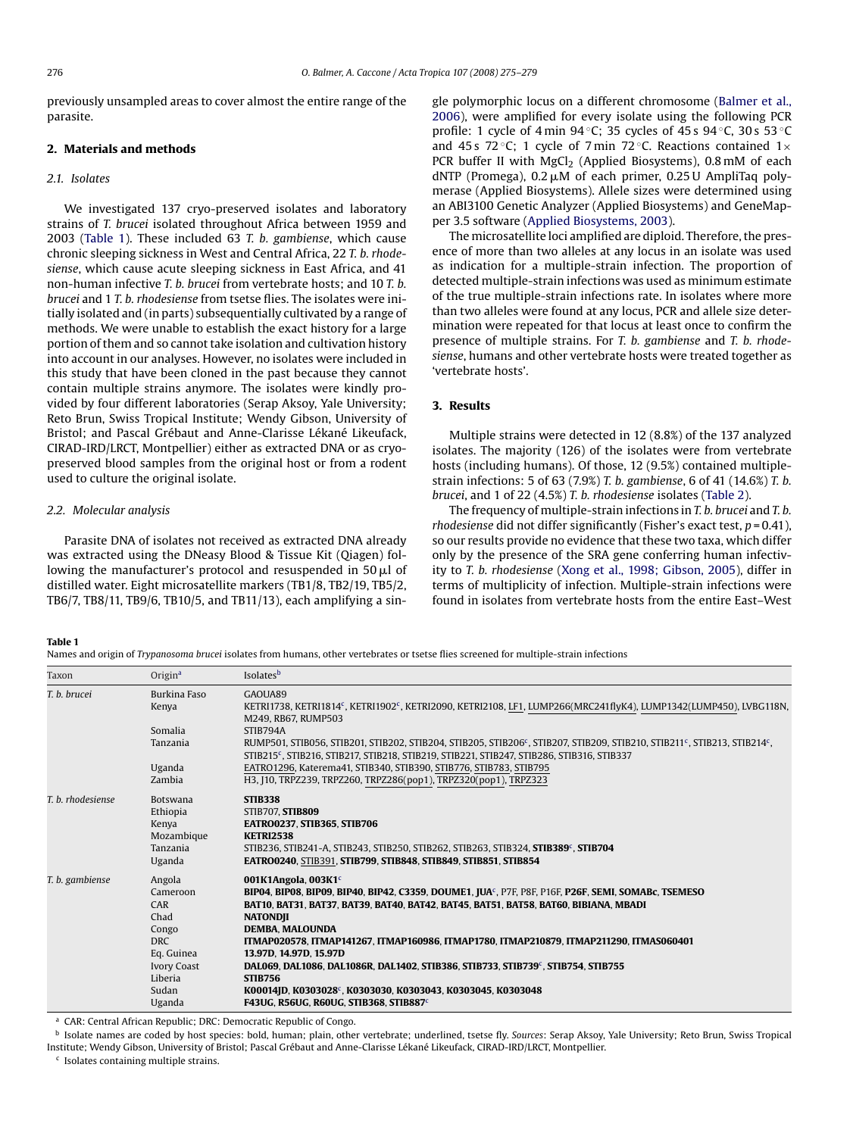previously unsampled areas to cover almost the entire range of the parasite.

#### **2. Materials and methods**

#### *2.1. Isolates*

We investigated 137 cryo-preserved isolates and laboratory strains of *T. brucei* isolated throughout Africa between 1959 and 2003 (Table 1). These included 63 *T. b. gambiense*, which cause chronic sleeping sickness in West and Central Africa, 22 *T. b. rhodesiense*, which cause acute sleeping sickness in East Africa, and 41 non-human infective *T. b. brucei* from vertebrate hosts; and 10 *T. b. brucei* and 1 *T. b. rhodesiense* from tsetse flies. The isolates were initially isolated and (in parts) subsequentially cultivated by a range of methods. We were unable to establish the exact history for a large portion of them and so cannot take isolation and cultivation history into account in our analyses. However, no isolates were included in this study that have been cloned in the past because they cannot contain multiple strains anymore. The isolates were kindly provided by four different laboratories (Serap Aksoy, Yale University; Reto Brun, Swiss Tropical Institute; Wendy Gibson, University of Bristol; and Pascal Grébaut and Anne-Clarisse Lékané Likeufack, CIRAD-IRD/LRCT, Montpellier) either as extracted DNA or as cryopreserved blood samples from the original host or from a rodent used to culture the original isolate.

#### *2.2. Molecular analysis*

Parasite DNA of isolates not received as extracted DNA already was extracted using the DNeasy Blood & Tissue Kit (Qiagen) following the manufacturer's protocol and resuspended in 50  $\mu$ l of distilled water. Eight microsatellite markers (TB1/8, TB2/19, TB5/2, TB6/7, TB8/11, TB9/6, TB10/5, and TB11/13), each amplifying a single polymorphic locus on a different chromosome ([Balmer et al.,](#page-3-0) 2006), were amplified for every isolate using the following PCR profile: 1 cycle of  $4 \text{min } 94^{\circ}$ C: 35 cycles of  $45 \text{ s } 94^{\circ}$ C, 30 s  $53^{\circ}$ C and 45 s 72 °C; 1 cycle of 7 min 72 °C. Reactions contained  $1 \times$ PCR buffer II with MgCl<sub>2</sub> (Applied Biosystems), 0.8 mM of each  $d$ NTP (Promega), 0.2  $\mu$ M of each primer, 0.25 U AmpliTaq polymerase (Applied Biosystems). Allele sizes were determined using an ABI3100 Genetic Analyzer (Applied Biosystems) and GeneMapper 3.5 software ([Applied Biosystems, 2003\).](#page-3-0)

The microsatellite loci amplified are diploid. Therefore, the presence of more than two alleles at any locus in an isolate was used as indication for a multiple-strain infection. The proportion of detected multiple-strain infections was used as minimum estimate of the true multiple-strain infections rate. In isolates where more than two alleles were found at any locus, PCR and allele size determination were repeated for that locus at least once to confirm the presence of multiple strains. For *T. b. gambiense* and *T. b. rhodesiense*, humans and other vertebrate hosts were treated together as 'vertebrate hosts'.

#### **3. Results**

Multiple strains were detected in 12 (8.8%) of the 137 analyzed isolates. The majority (126) of the isolates were from vertebrate hosts (including humans). Of those, 12 (9.5%) contained multiplestrain infections: 5 of 63 (7.9%) *T. b. gambiense*, 6 of 41 (14.6%) *T. b. brucei*, and 1 of 22 (4.5%) *T. b. rhodesiense* isolates ([Table 2\).](#page-2-0)

The frequency of multiple-strain infections in *T. b. brucei* and *T. b. rhodesiense* did not differ significantly (Fisher's exact test, *p* = 0.41), so our results provide no evidence that these two taxa, which differ only by the presence of the SRA gene conferring human infectivity to *T. b. rhodesiense* [\(Xong et al., 1998; Gibson, 2005\)](#page-4-0), differ in terms of multiplicity of infection. Multiple-strain infections were found in isolates from vertebrate hosts from the entire East–West

#### **Table 1**

Names and origin of *Trypanosoma brucei* isolates from humans, other vertebrates or tsetse flies screened for multiple-strain infections

| Taxon             | Origin <sup>a</sup> | Isolatesb                                                                                                                                                                                                                                                   |
|-------------------|---------------------|-------------------------------------------------------------------------------------------------------------------------------------------------------------------------------------------------------------------------------------------------------------|
| T. b. brucei      | Burkina Faso        | GAOUA89                                                                                                                                                                                                                                                     |
|                   | Kenya               | KETRI1738, KETRI1814°, KETRI1902°, KETRI2090, KETRI2108, LF1, LUMP266(MRC241flyK4), LUMP1342(LUMP450), LVBG118N,                                                                                                                                            |
|                   |                     | M249, RB67, RUMP503                                                                                                                                                                                                                                         |
|                   | Somalia             | STIB794A                                                                                                                                                                                                                                                    |
|                   | Tanzania            | RUMP501, STIB056, STIB201, STIB202, STIB204, STIB205, STIB206 <sup>c</sup> , STIB207, STIB209, STIB210, STIB211 <sup>c</sup> , STIB213, STIB214 <sup>c</sup> ,<br>STIB215°, STIB216, STIB217, STIB218, STIB219, STIB221, STIB247, STIB286, STIB316, STIB337 |
|                   | Uganda              | EATRO1296, Katerema41, STIB340, STIB390, STIB776, STIB783, STIB795                                                                                                                                                                                          |
|                   | Zambia              | H3, J10, TRPZ239, TRPZ260, TRPZ286(pop1), TRPZ320(pop1), TRPZ323                                                                                                                                                                                            |
| T. b. rhodesiense | Botswana            | <b>STIB338</b>                                                                                                                                                                                                                                              |
|                   | Ethiopia            | <b>STIB707, STIB809</b>                                                                                                                                                                                                                                     |
|                   | Kenya               | <b>EATRO0237, STIB365, STIB706</b>                                                                                                                                                                                                                          |
|                   | Mozambique          | <b>KETRI2538</b>                                                                                                                                                                                                                                            |
|                   | Tanzania            | STIB236, STIB241-A, STIB243, STIB250, STIB262, STIB263, STIB324, STIB389°, STIB704                                                                                                                                                                          |
|                   | Uganda              | EATRO0240, STIB391, STIB799, STIB848, STIB849, STIB851, STIB854                                                                                                                                                                                             |
| T. b. gambiense   | Angola              | 001K1Angola, 003K1 $^{\rm c}$                                                                                                                                                                                                                               |
|                   | Cameroon            | BIP04, BIP08, BIP09, BIP40, BIP42, C3359, DOUME1, JUA <sup>c</sup> , P7F, P8F, P16F, P26F, SEMI, SOMABc, TSEMESO                                                                                                                                            |
|                   | CAR                 | BAT10, BAT31, BAT37, BAT39, BAT40, BAT42, BAT45, BAT51, BAT58, BAT60, BIBIANA, MBADI                                                                                                                                                                        |
|                   | Chad                | <b>NATONDII</b>                                                                                                                                                                                                                                             |
|                   | Congo               | <b>DEMBA. MALOUNDA</b>                                                                                                                                                                                                                                      |
|                   | <b>DRC</b>          | ITMAP020578, ITMAP141267, ITMAP160986, ITMAP1780, ITMAP210879, ITMAP211290, ITMAS060401                                                                                                                                                                     |
|                   | Eq. Guinea          | 13.97D, 14.97D, 15.97D                                                                                                                                                                                                                                      |
|                   | <b>Ivory Coast</b>  | DAL069, DAL1086, DAL1086R, DAL1402, STIB386, STIB733, STIB739°, STIB754, STIB755                                                                                                                                                                            |
|                   | Liberia             | <b>STIB756</b>                                                                                                                                                                                                                                              |
|                   | Sudan               | K00014JD, K0303028°, K0303030, K0303043, K0303045, K0303048                                                                                                                                                                                                 |
|                   | Uganda              | <b>F43UG. R56UG. R60UG. STIB368. STIB887°</b>                                                                                                                                                                                                               |

<sup>a</sup> CAR: Central African Republic; DRC: Democratic Republic of Congo.

<sup>b</sup> Isolate names are coded by host species: bold, human; plain, other vertebrate; underlined, tsetse fly. *Sources*: Serap Aksoy, Yale University; Reto Brun, Swiss Tropical Institute; Wendy Gibson, University of Bristol; Pascal Grébaut and Anne-Clarisse Lékané Likeufack, CIRAD-IRD/LRCT, Montpellier.

<sup>c</sup> Isolates containing multiple strains.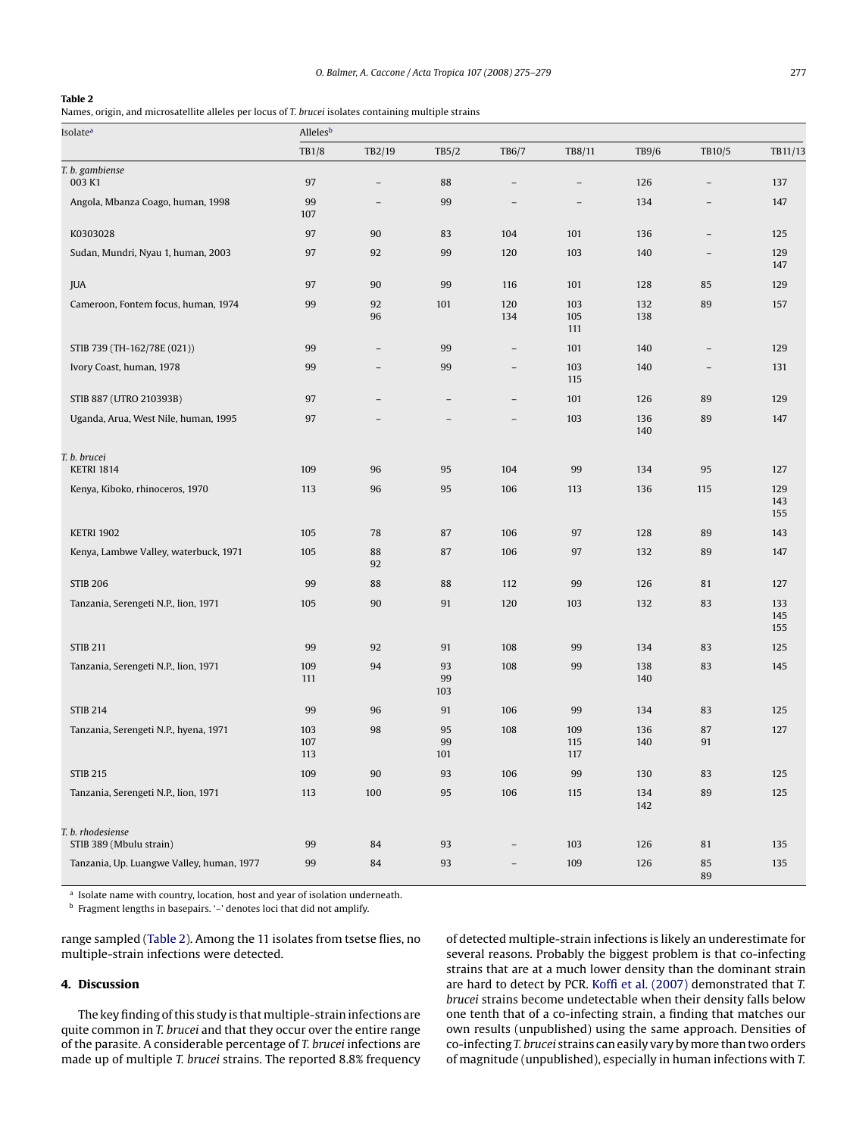#### <span id="page-2-0"></span>**Table 2**

Names, origin, and microsatellite alleles per locus of *T. brucei* isolates containing multiple strains

| Isolateª                                     | Alleles <sup>b</sup> |                          |                          |                          |                          |              |                          |                   |
|----------------------------------------------|----------------------|--------------------------|--------------------------|--------------------------|--------------------------|--------------|--------------------------|-------------------|
|                                              | TB1/8                | TB2/19                   | TB5/2                    | TB6/7                    | TB8/11                   | <b>TB9/6</b> | TB10/5                   | TB11/13           |
| T. b. gambiense                              |                      |                          |                          |                          |                          |              |                          |                   |
| 003 K1                                       | 97                   | $\overline{\phantom{0}}$ | 88                       | $\overline{\phantom{0}}$ | $\overline{\phantom{0}}$ | 126          | $\overline{\phantom{0}}$ | 137               |
| Angola, Mbanza Coago, human, 1998            | 99<br>107            | $\overline{\phantom{0}}$ | 99                       | $\overline{\phantom{0}}$ | $\qquad \qquad -$        | 134          | $\qquad \qquad -$        | 147               |
| K0303028                                     | 97                   | 90                       | 83                       | 104                      | 101                      | 136          | $\overline{\phantom{a}}$ | 125               |
| Sudan, Mundri, Nyau 1, human, 2003           | 97                   | 92                       | 99                       | 120                      | 103                      | 140          | $\overline{\phantom{m}}$ | 129<br>147        |
| JUA                                          | 97                   | 90                       | 99                       | 116                      | 101                      | 128          | 85                       | 129               |
| Cameroon, Fontem focus, human, 1974          | 99                   | 92<br>96                 | 101                      | 120<br>134               | 103<br>105<br>111        | 132<br>138   | 89                       | 157               |
| STIB 739 (TH-162/78E (021))                  | 99                   | $\overline{\phantom{0}}$ | 99                       | $\qquad \qquad -$        | 101                      | 140          | $\overline{\phantom{a}}$ | 129               |
| Ivory Coast, human, 1978                     | 99                   | $\overline{\phantom{0}}$ | 99                       | $\overline{\phantom{0}}$ | 103<br>115               | 140          | $\overline{\phantom{a}}$ | 131               |
| STIB 887 (UTRO 210393B)                      | 97                   | -                        | $\overline{\phantom{0}}$ | $\qquad \qquad -$        | 101                      | 126          | 89                       | 129               |
| Uganda, Arua, West Nile, human, 1995         | 97                   |                          | $\overline{a}$           |                          | 103                      | 136<br>140   | 89                       | 147               |
| T. b. brucei                                 |                      |                          |                          |                          |                          |              |                          |                   |
| <b>KETRI 1814</b>                            | 109                  | 96                       | 95                       | 104                      | 99                       | 134          | 95                       | 127               |
| Kenya, Kiboko, rhinoceros, 1970              | 113                  | 96                       | 95                       | 106                      | 113                      | 136          | 115                      | 129<br>143<br>155 |
| <b>KETRI 1902</b>                            | 105                  | 78                       | 87                       | 106                      | 97                       | 128          | 89                       | 143               |
| Kenya, Lambwe Valley, waterbuck, 1971        | 105                  | 88<br>92                 | 87                       | 106                      | 97                       | 132          | 89                       | 147               |
| <b>STIB 206</b>                              | 99                   | 88                       | 88                       | 112                      | 99                       | 126          | 81                       | 127               |
| Tanzania, Serengeti N.P., lion, 1971         | 105                  | 90                       | 91                       | 120                      | 103                      | 132          | 83                       | 133<br>145<br>155 |
| <b>STIB 211</b>                              | 99                   | 92                       | 91                       | 108                      | 99                       | 134          | 83                       | 125               |
| Tanzania, Serengeti N.P., lion, 1971         | 109<br>111           | 94                       | 93<br>99<br>103          | 108                      | 99                       | 138<br>140   | 83                       | 145               |
| <b>STIB 214</b>                              | 99                   | 96                       | 91                       | 106                      | 99                       | 134          | 83                       | 125               |
| Tanzania, Serengeti N.P., hyena, 1971        | 103<br>107<br>113    | 98                       | 95<br>99<br>101          | 108                      | 109<br>115<br>117        | 136<br>140   | 87<br>91                 | 127               |
| <b>STIB 215</b>                              | 109                  | 90                       | 93                       | 106                      | 99                       | 130          | 83                       | 125               |
| Tanzania, Serengeti N.P., lion, 1971         | 113                  | 100                      | 95                       | 106                      | 115                      | 134<br>142   | 89                       | 125               |
| T. b. rhodesiense<br>STIB 389 (Mbulu strain) | 99                   | 84                       | 93                       |                          | 103                      | 126          | 81                       | 135               |
| Tanzania, Up. Luangwe Valley, human, 1977    | 99                   | 84                       | 93                       |                          | 109                      | 126          | 85                       | 135               |
|                                              |                      |                          |                          |                          |                          |              | 89                       |                   |

 $^{\rm a}$  Isolate name with country, location, host and year of isolation underneath.

<sup>b</sup> Fragment lengths in basepairs. '–' denotes loci that did not amplify.

range sampled (Table 2). Among the 11 isolates from tsetse flies, no multiple-strain infections were detected.

#### **4. Discussion**

The key finding of this study is that multiple-strain infections are quite common in *T. brucei* and that they occur over the entire range of the parasite. A considerable percentage of *T. brucei* infections are made up of multiple *T. brucei* strains. The reported 8.8% frequency

of detected multiple-strain infections is likely an underestimate for several reasons. Probably the biggest problem is that co-infecting strains that are at a much lower density than the dominant strain are hard to detect by PCR. [Koffi et al. \(2007\)](#page-4-0) demonstrated that *T. brucei* strains become undetectable when their density falls below one tenth that of a co-infecting strain, a finding that matches our own results (unpublished) using the same approach. Densities of co-infecting *T. brucei* strains can easily vary bymore than two orders of magnitude (unpublished), especially in human infections with *T.*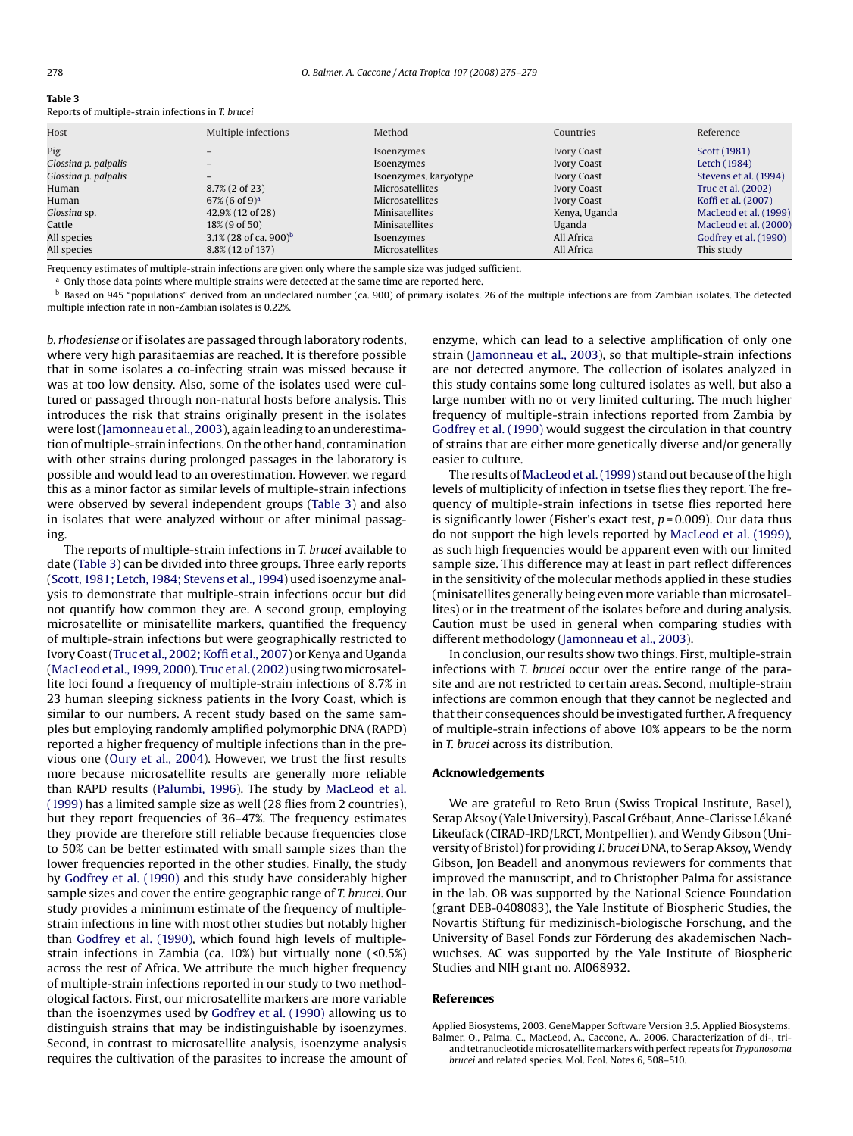#### <span id="page-3-0"></span>**Table 3**

|  | Reports of multiple-strain infections in T. brucei |  |
|--|----------------------------------------------------|--|
|  |                                                    |  |

| Host                 | Multiple infections               | Method                | Countries          | Reference             |
|----------------------|-----------------------------------|-----------------------|--------------------|-----------------------|
| Pig                  |                                   | Isoenzymes            | <b>Ivory Coast</b> | Scott (1981)          |
| Glossina p. palpalis |                                   | Isoenzymes            | <b>Ivory Coast</b> | Letch (1984)          |
| Glossina p. palpalis |                                   | Isoenzymes, karyotype | <b>Ivory Coast</b> | Stevens et al. (1994) |
| Human                | 8.7% (2 of 23)                    | Microsatellites       | <b>Ivory Coast</b> | Truc et al. (2002)    |
| Human                | $67\%$ (6 of 9) <sup>a</sup>      | Microsatellites       | <b>Ivory Coast</b> | Koffi et al. (2007)   |
| Glossina sp.         | 42.9% (12 of 28)                  | <b>Minisatellites</b> | Kenya, Uganda      | MacLeod et al. (1999) |
| Cattle               | $18\%$ (9 of 50)                  | <b>Minisatellites</b> | Uganda             | MacLeod et al. (2000) |
| All species          | 3.1% (28 of ca. 900) <sup>b</sup> | Isoenzymes            | All Africa         | Godfrey et al. (1990) |
| All species          | 8.8% (12 of 137)                  | Microsatellites       | All Africa         | This study            |

Frequency estimates of multiple-strain infections are given only where the sample size was judged sufficient.

<sup>a</sup> Only those data points where multiple strains were detected at the same time are reported here.

 $<sup>b</sup>$  Based on 945 "populations" derived from an undeclared number (ca. 900) of primary isolates. 26 of the multiple infections are from Zambian isolates. The detected</sup> multiple infection rate in non-Zambian isolates is 0.22%.

*b. rhodesiense* or if isolates are passaged through laboratory rodents, where very high parasitaemias are reached. It is therefore possible that in some isolates a co-infecting strain was missed because it was at too low density. Also, some of the isolates used were cultured or passaged through non-natural hosts before analysis. This introduces the risk that strains originally present in the isolates were lost [\(Jamonneau et al., 2003\), a](#page-4-0)gain leading to an underestimation ofmultiple-strain infections. On the other hand, contamination with other strains during prolonged passages in the laboratory is possible and would lead to an overestimation. However, we regard this as a minor factor as similar levels of multiple-strain infections were observed by several independent groups (Table 3) and also in isolates that were analyzed without or after minimal passaging.

The reports of multiple-strain infections in *T. brucei* available to date (Table 3) can be divided into three groups. Three early reports ([Scott, 1981; Letch, 1984; Stevens et al., 1994\) us](#page-4-0)ed isoenzyme analysis to demonstrate that multiple-strain infections occur but did not quantify how common they are. A second group, employing microsatellite or minisatellite markers, quantified the frequency of multiple-strain infections but were geographically restricted to Ivory Coast [\(Truc et al., 2002; Koffi et al., 2007\) or](#page-4-0) Kenya and Uganda ([MacLeod et al., 1999, 2000\).](#page-4-0) Truc et al. (2002) using two microsatellite loci found a frequency of multiple-strain infections of 8.7% in 23 human sleeping sickness patients in the Ivory Coast, which is similar to our numbers. A recent study based on the same samples but employing randomly amplified polymorphic DNA (RAPD) reported a higher frequency of multiple infections than in the previous one ([Oury et al., 2004\)](#page-4-0). However, we trust the first results more because microsatellite results are generally more reliable than RAPD results ([Palumbi, 1996\).](#page-4-0) The study by [MacLeod et al.](#page-4-0) (1999) has a limited sample size as well (28 flies from 2 countries), but they report frequencies of 36–47%. The frequency estimates they provide are therefore still reliable because frequencies close to 50% can be better estimated with small sample sizes than the lower frequencies reported in the other studies. Finally, the study by [Godfrey et al. \(1990\)](#page-4-0) and this study have considerably higher sample sizes and cover the entire geographic range of *T. brucei*. Our study provides a minimum estimate of the frequency of multiplestrain infections in line with most other studies but notably higher than [Godfrey et al. \(1990\),](#page-4-0) which found high levels of multiplestrain infections in Zambia (ca. 10%) but virtually none (<0.5%) across the rest of Africa. We attribute the much higher frequency of multiple-strain infections reported in our study to two methodological factors. First, our microsatellite markers are more variable than the isoenzymes used by [Godfrey et al. \(1990\)](#page-4-0) allowing us to distinguish strains that may be indistinguishable by isoenzymes. Second, in contrast to microsatellite analysis, isoenzyme analysis requires the cultivation of the parasites to increase the amount of enzyme, which can lead to a selective amplification of only one strain [\(Jamonneau et al., 2003\)](#page-4-0), so that multiple-strain infections are not detected anymore. The collection of isolates analyzed in this study contains some long cultured isolates as well, but also a large number with no or very limited culturing. The much higher frequency of multiple-strain infections reported from Zambia by [Godfrey et al. \(1990\)](#page-4-0) would suggest the circulation in that country of strains that are either more genetically diverse and/or generally easier to culture.

The results of [MacLeod et al. \(1999\)](#page-4-0) stand out because of the high levels of multiplicity of infection in tsetse flies they report. The frequency of multiple-strain infections in tsetse flies reported here is significantly lower (Fisher's exact test, *p* = 0.009). Our data thus do not support the high levels reported by [MacLeod et al. \(1999\),](#page-4-0) as such high frequencies would be apparent even with our limited sample size. This difference may at least in part reflect differences in the sensitivity of the molecular methods applied in these studies (minisatellites generally being even more variable than microsatellites) or in the treatment of the isolates before and during analysis. Caution must be used in general when comparing studies with different methodology ([Jamonneau et al., 2003\).](#page-4-0)

In conclusion, our results show two things. First, multiple-strain infections with *T. brucei* occur over the entire range of the parasite and are not restricted to certain areas. Second, multiple-strain infections are common enough that they cannot be neglected and that their consequences should be investigated further. A frequency of multiple-strain infections of above 10% appears to be the norm in *T. brucei* across its distribution.

#### **Acknowledgements**

We are grateful to Reto Brun (Swiss Tropical Institute, Basel), Serap Aksoy (Yale University), Pascal Grébaut, Anne-Clarisse Lékané Likeufack (CIRAD-IRD/LRCT, Montpellier), and Wendy Gibson (University of Bristol) for providing *T. brucei* DNA, to Serap Aksoy,Wendy Gibson, Jon Beadell and anonymous reviewers for comments that improved the manuscript, and to Christopher Palma for assistance in the lab. OB was supported by the National Science Foundation (grant DEB-0408083), the Yale Institute of Biospheric Studies, the Novartis Stiftung für medizinisch-biologische Forschung, and the University of Basel Fonds zur Förderung des akademischen Nachwuchses. AC was supported by the Yale Institute of Biospheric Studies and NIH grant no. AI068932.

#### **References**

Applied Biosystems, 2003. GeneMapper Software Version 3.5. Applied Biosystems. Balmer, O., Palma, C., MacLeod, A., Caccone, A., 2006. Characterization of di-, triand tetranucleotide microsatellite markers with perfect repeats for *Trypanosoma brucei* and related species. Mol. Ecol. Notes 6, 508–510.